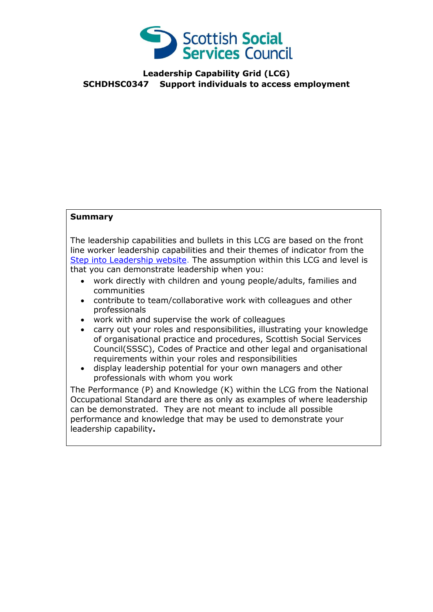

## **Leadership Capability Grid (LCG) SCHDHSC0347 Support individuals to access employment**

## **Summary**

The leadership capabilities and bullets in this LCG are based on the front line worker leadership capabilities and their themes of indicator from the [Step into Leadership website.](http://www.stepintoleadership.info/) The assumption within this LCG and level is that you can demonstrate leadership when you:

- work directly with children and young people/adults, families and communities
- contribute to team/collaborative work with colleagues and other professionals
- work with and supervise the work of colleagues
- carry out your roles and responsibilities, illustrating your knowledge of organisational practice and procedures, Scottish Social Services Council(SSSC), Codes of Practice and other legal and organisational requirements within your roles and responsibilities
- display leadership potential for your own managers and other professionals with whom you work

The Performance (P) and Knowledge (K) within the LCG from the National Occupational Standard are there as only as examples of where leadership can be demonstrated. They are not meant to include all possible performance and knowledge that may be used to demonstrate your leadership capability**.**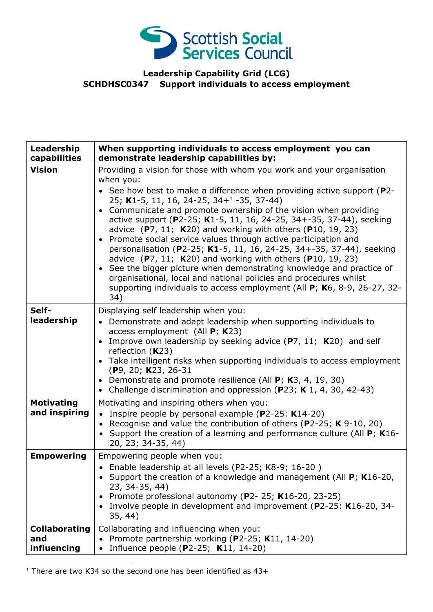

## **Leadership Capability Grid (LCG) SCHDHSC0347 Support individuals to access employment**

| Leadership<br>capabilities                 | When supporting individuals to access employment you can<br>demonstrate leadership capabilities by:                                                                                                                                                                                                                                                                                                                                                                                                                                                                                                                                                                                                                                                                                                                                                                                             |
|--------------------------------------------|-------------------------------------------------------------------------------------------------------------------------------------------------------------------------------------------------------------------------------------------------------------------------------------------------------------------------------------------------------------------------------------------------------------------------------------------------------------------------------------------------------------------------------------------------------------------------------------------------------------------------------------------------------------------------------------------------------------------------------------------------------------------------------------------------------------------------------------------------------------------------------------------------|
| <b>Vision</b>                              | Providing a vision for those with whom you work and your organisation<br>when you:<br>• See how best to make a difference when providing active support ( $P2$ -<br>25; K1-5, 11, 16, 24-25, 34+ <sup>1</sup> -35, 37-44)<br>• Communicate and promote ownership of the vision when providing<br>active support (P2-25; K1-5, 11, 16, 24-25, 34+-35, 37-44), seeking<br>advice $(P7, 11; K20)$ and working with others $(P10, 19, 23)$<br>• Promote social service values through active participation and<br>personalisation (P2-25; K1-5, 11, 16, 24-25, 34+-35, 37-44), seeking<br>advice $(P7, 11; K20)$ and working with others $(P10, 19, 23)$<br>See the bigger picture when demonstrating knowledge and practice of<br>$\bullet$<br>organisational, local and national policies and procedures whilst<br>supporting individuals to access employment (All P; K6, 8-9, 26-27, 32-<br>34) |
| Self-<br>leadership                        | Displaying self leadership when you:<br>• Demonstrate and adapt leadership when supporting individuals to<br>access employment (All $P$ ; K23)<br>Improve own leadership by seeking advice (P7, 11; K20) and self<br>reflection $(K23)$<br>• Take intelligent risks when supporting individuals to access employment<br>$(P9, 20; K23, 26-31)$<br>• Demonstrate and promote resilience (All $P$ ; K3, 4, 19, 30)<br>Challenge discrimination and oppression (P23; K 1, 4, 30, 42-43)                                                                                                                                                                                                                                                                                                                                                                                                            |
| <b>Motivating</b><br>and inspiring         | Motivating and inspiring others when you:<br>• Inspire people by personal example ( $P2-25$ : K14-20)<br>• Recognise and value the contribution of others (P2-25; K 9-10, 20)<br>• Support the creation of a learning and performance culture (All P; K16-<br>20, 23; 34-35, 44)                                                                                                                                                                                                                                                                                                                                                                                                                                                                                                                                                                                                                |
| <b>Empowering</b>                          | Empowering people when you:<br>Enable leadership at all levels (P2-25; K8-9; 16-20)<br>• Support the creation of a knowledge and management (All $P$ ; K16-20,<br>23, 34-35, 44)<br>• Promote professional autonomy (P2-25; K16-20, 23-25)<br>• Involve people in development and improvement (P2-25; K16-20, 34-<br>35, 44)                                                                                                                                                                                                                                                                                                                                                                                                                                                                                                                                                                    |
| <b>Collaborating</b><br>and<br>influencing | Collaborating and influencing when you:<br>Promote partnership working (P2-25; K11, 14-20)<br>Influence people (P2-25; K11, 14-20)                                                                                                                                                                                                                                                                                                                                                                                                                                                                                                                                                                                                                                                                                                                                                              |

<sup>1</sup> There are two K34 so the second one has been identified as  $43+$ 

-